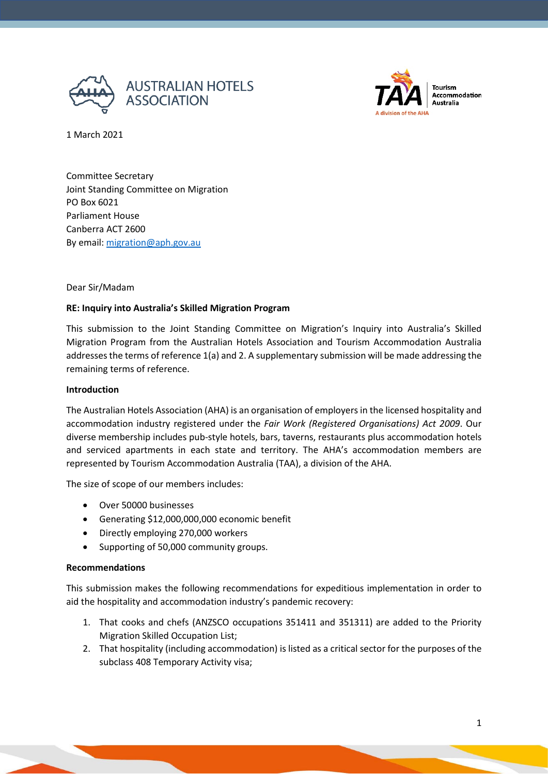



1 March 2021

Committee Secretary Joint Standing Committee on Migration PO Box 6021 Parliament House Canberra ACT 2600 By email: [migration@aph.gov.au](mailto:migration@aph.gov.au)

#### Dear Sir/Madam

## **RE: Inquiry into Australia's Skilled Migration Program**

This submission to the Joint Standing Committee on Migration's Inquiry into Australia's Skilled Migration Program from the Australian Hotels Association and Tourism Accommodation Australia addresses the terms of reference 1(a) and 2. A supplementary submission will be made addressing the remaining terms of reference.

#### **Introduction**

The Australian Hotels Association (AHA) is an organisation of employers in the licensed hospitality and accommodation industry registered under the *Fair Work (Registered Organisations) Act 2009*. Our diverse membership includes pub-style hotels, bars, taverns, restaurants plus accommodation hotels and serviced apartments in each state and territory. The AHA's accommodation members are represented by Tourism Accommodation Australia (TAA), a division of the AHA.

The size of scope of our members includes:

- Over 50000 businesses
- Generating \$12,000,000,000 economic benefit
- Directly employing 270,000 workers
- Supporting of 50,000 community groups.

#### **Recommendations**

This submission makes the following recommendations for expeditious implementation in order to aid the hospitality and accommodation industry's pandemic recovery:

- 1. That cooks and chefs (ANZSCO occupations 351411 and 351311) are added to the Priority Migration Skilled Occupation List;
- 2. That hospitality (including accommodation) is listed as a critical sector for the purposes of the subclass 408 Temporary Activity visa;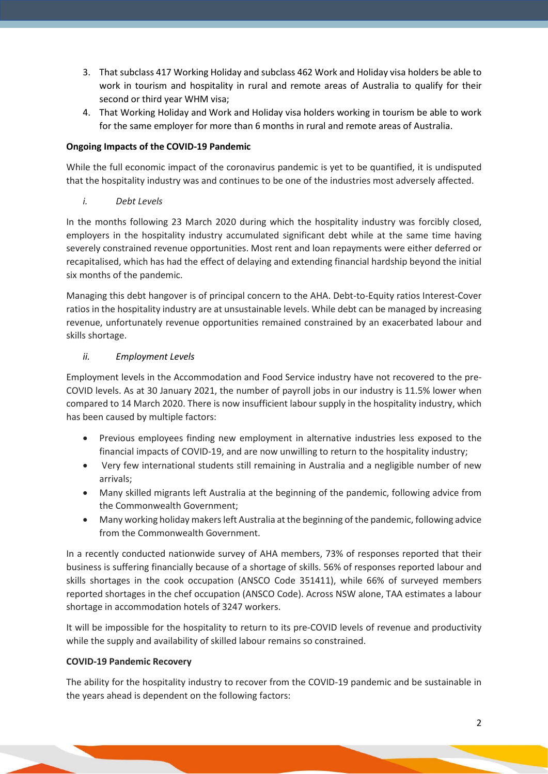- 3. That subclass 417 Working Holiday and subclass 462 Work and Holiday visa holders be able to work in tourism and hospitality in rural and remote areas of Australia to qualify for their second or third year WHM visa;
- 4. That Working Holiday and Work and Holiday visa holders working in tourism be able to work for the same employer for more than 6 months in rural and remote areas of Australia.

# **Ongoing Impacts of the COVID-19 Pandemic**

While the full economic impact of the coronavirus pandemic is yet to be quantified, it is undisputed that the hospitality industry was and continues to be one of the industries most adversely affected.

*i. Debt Levels*

In the months following 23 March 2020 during which the hospitality industry was forcibly closed, employers in the hospitality industry accumulated significant debt while at the same time having severely constrained revenue opportunities. Most rent and loan repayments were either deferred or recapitalised, which has had the effect of delaying and extending financial hardship beyond the initial six months of the pandemic.

Managing this debt hangover is of principal concern to the AHA. Debt-to-Equity ratios Interest-Cover ratios in the hospitality industry are at unsustainable levels. While debt can be managed by increasing revenue, unfortunately revenue opportunities remained constrained by an exacerbated labour and skills shortage.

# *ii. Employment Levels*

Employment levels in the Accommodation and Food Service industry have not recovered to the pre-COVID levels. As at 30 January 2021, the number of payroll jobs in our industry is 11.5% lower when compared to 14 March 2020. There is now insufficient labour supply in the hospitality industry, which has been caused by multiple factors:

- Previous employees finding new employment in alternative industries less exposed to the financial impacts of COVID-19, and are now unwilling to return to the hospitality industry;
- Very few international students still remaining in Australia and a negligible number of new arrivals;
- Many skilled migrants left Australia at the beginning of the pandemic, following advice from the Commonwealth Government;
- Many working holiday makers left Australia at the beginning of the pandemic, following advice from the Commonwealth Government.

In a recently conducted nationwide survey of AHA members, 73% of responses reported that their business is suffering financially because of a shortage of skills. 56% of responses reported labour and skills shortages in the cook occupation (ANSCO Code 351411), while 66% of surveyed members reported shortages in the chef occupation (ANSCO Code). Across NSW alone, TAA estimates a labour shortage in accommodation hotels of 3247 workers.

It will be impossible for the hospitality to return to its pre-COVID levels of revenue and productivity while the supply and availability of skilled labour remains so constrained.

# **COVID-19 Pandemic Recovery**

The ability for the hospitality industry to recover from the COVID-19 pandemic and be sustainable in the years ahead is dependent on the following factors: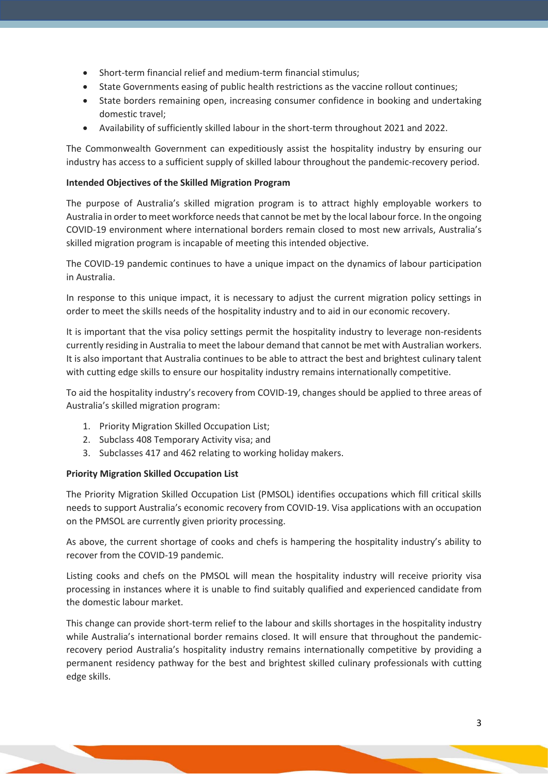- Short-term financial relief and medium-term financial stimulus;
- State Governments easing of public health restrictions as the vaccine rollout continues;
- State borders remaining open, increasing consumer confidence in booking and undertaking domestic travel;
- Availability of sufficiently skilled labour in the short-term throughout 2021 and 2022.

The Commonwealth Government can expeditiously assist the hospitality industry by ensuring our industry has access to a sufficient supply of skilled labour throughout the pandemic-recovery period.

## **Intended Objectives of the Skilled Migration Program**

The purpose of Australia's skilled migration program is to attract highly employable workers to Australia in order to meet workforce needs that cannot be met by the local labour force. In the ongoing COVID-19 environment where international borders remain closed to most new arrivals, Australia's skilled migration program is incapable of meeting this intended objective.

The COVID-19 pandemic continues to have a unique impact on the dynamics of labour participation in Australia.

In response to this unique impact, it is necessary to adjust the current migration policy settings in order to meet the skills needs of the hospitality industry and to aid in our economic recovery.

It is important that the visa policy settings permit the hospitality industry to leverage non-residents currently residing in Australia to meet the labour demand that cannot be met with Australian workers. It is also important that Australia continues to be able to attract the best and brightest culinary talent with cutting edge skills to ensure our hospitality industry remains internationally competitive.

To aid the hospitality industry's recovery from COVID-19, changes should be applied to three areas of Australia's skilled migration program:

- 1. Priority Migration Skilled Occupation List;
- 2. Subclass 408 Temporary Activity visa; and
- 3. Subclasses 417 and 462 relating to working holiday makers.

## **Priority Migration Skilled Occupation List**

The Priority Migration Skilled Occupation List (PMSOL) identifies occupations which fill critical skills needs to support Australia's economic recovery from COVID-19. Visa applications with an occupation on the PMSOL are currently given priority processing.

As above, the current shortage of cooks and chefs is hampering the hospitality industry's ability to recover from the COVID-19 pandemic.

Listing cooks and chefs on the PMSOL will mean the hospitality industry will receive priority visa processing in instances where it is unable to find suitably qualified and experienced candidate from the domestic labour market.

This change can provide short-term relief to the labour and skills shortages in the hospitality industry while Australia's international border remains closed. It will ensure that throughout the pandemicrecovery period Australia's hospitality industry remains internationally competitive by providing a permanent residency pathway for the best and brightest skilled culinary professionals with cutting edge skills.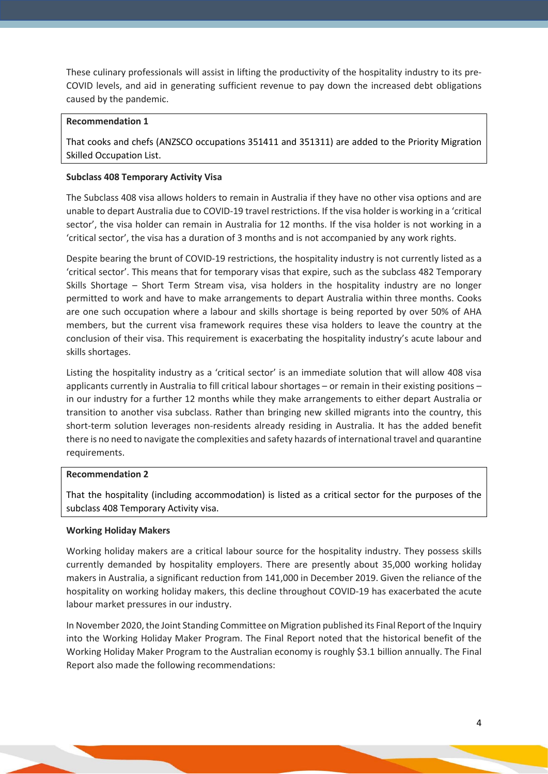These culinary professionals will assist in lifting the productivity of the hospitality industry to its pre-COVID levels, and aid in generating sufficient revenue to pay down the increased debt obligations caused by the pandemic.

#### **Recommendation 1**

That cooks and chefs (ANZSCO occupations 351411 and 351311) are added to the Priority Migration Skilled Occupation List.

### **Subclass 408 Temporary Activity Visa**

The Subclass 408 visa allows holders to remain in Australia if they have no other visa options and are unable to depart Australia due to COVID-19 travel restrictions. If the visa holder is working in a 'critical sector', the visa holder can remain in Australia for 12 months. If the visa holder is not working in a 'critical sector', the visa has a duration of 3 months and is not accompanied by any work rights.

Despite bearing the brunt of COVID-19 restrictions, the hospitality industry is not currently listed as a 'critical sector'. This means that for temporary visas that expire, such as the subclass 482 Temporary Skills Shortage – Short Term Stream visa, visa holders in the hospitality industry are no longer permitted to work and have to make arrangements to depart Australia within three months. Cooks are one such occupation where a labour and skills shortage is being reported by over 50% of AHA members, but the current visa framework requires these visa holders to leave the country at the conclusion of their visa. This requirement is exacerbating the hospitality industry's acute labour and skills shortages.

Listing the hospitality industry as a 'critical sector' is an immediate solution that will allow 408 visa applicants currently in Australia to fill critical labour shortages – or remain in their existing positions – in our industry for a further 12 months while they make arrangements to either depart Australia or transition to another visa subclass. Rather than bringing new skilled migrants into the country, this short-term solution leverages non-residents already residing in Australia. It has the added benefit there is no need to navigate the complexities and safety hazards of international travel and quarantine requirements.

#### **Recommendation 2**

That the hospitality (including accommodation) is listed as a critical sector for the purposes of the subclass 408 Temporary Activity visa.

## **Working Holiday Makers**

Working holiday makers are a critical labour source for the hospitality industry. They possess skills currently demanded by hospitality employers. There are presently about 35,000 working holiday makers in Australia, a significant reduction from 141,000 in December 2019. Given the reliance of the hospitality on working holiday makers, this decline throughout COVID-19 has exacerbated the acute labour market pressures in our industry.

In November 2020, the Joint Standing Committee on Migration published its Final Report of the Inquiry into the Working Holiday Maker Program. The Final Report noted that the historical benefit of the Working Holiday Maker Program to the Australian economy is roughly \$3.1 billion annually. The Final Report also made the following recommendations: